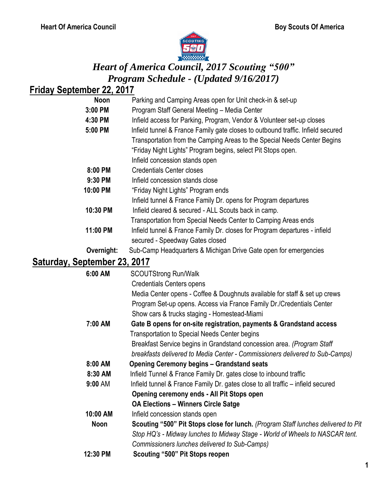

# *Heart of America Council, 2017 Scouting "500" Program Schedule - (Updated 9/16/2017)*

## **Friday September 22, 2017**

| <b>Noon</b>                | Parking and Camping Areas open for Unit check-in & set-up                       |
|----------------------------|---------------------------------------------------------------------------------|
| 3:00 PM                    | Program Staff General Meeting - Media Center                                    |
| 4:30 PM                    | Infield access for Parking, Program, Vendor & Volunteer set-up closes           |
| 5:00 PM                    | Infield tunnel & France Family gate closes to outbound traffic. Infield secured |
|                            | Transportation from the Camping Areas to the Special Needs Center Begins        |
|                            | "Friday Night Lights" Program begins, select Pit Stops open.                    |
|                            | Infield concession stands open                                                  |
| 8:00 PM                    | <b>Credentials Center closes</b>                                                |
| 9:30 PM                    | Infield concession stands close                                                 |
| 10:00 PM                   | "Friday Night Lights" Program ends                                              |
|                            | Infield tunnel & France Family Dr. opens for Program departures                 |
| 10:30 PM                   | Infield cleared & secured - ALL Scouts back in camp.                            |
|                            | Transportation from Special Needs Center to Camping Areas ends                  |
| 11:00 PM                   | Infield tunnel & France Family Dr. closes for Program departures - infield      |
|                            | secured - Speedway Gates closed                                                 |
| Overnight:                 | Sub-Camp Headquarters & Michigan Drive Gate open for emergencies                |
| Saturday Santamhar 22 2017 |                                                                                 |

### **Saturday, September 23, 2017**

| 6:00 AM   | <b>SCOUTStrong Run/Walk</b>                                                       |
|-----------|-----------------------------------------------------------------------------------|
|           | <b>Credentials Centers opens</b>                                                  |
|           | Media Center opens - Coffee & Doughnuts available for staff & set up crews        |
|           | Program Set-up opens. Access via France Family Dr./Credentials Center             |
|           | Show cars & trucks staging - Homestead-Miami                                      |
| 7:00 AM   | Gate B opens for on-site registration, payments & Grandstand access               |
|           | Transportation to Special Needs Center begins                                     |
|           | Breakfast Service begins in Grandstand concession area. (Program Staff            |
|           | breakfasts delivered to Media Center - Commissioners delivered to Sub-Camps)      |
| 8:00 AM   | <b>Opening Ceremony begins – Grandstand seats</b>                                 |
| 8:30 AM   | Infield Tunnel & France Family Dr. gates close to inbound traffic                 |
| $9:00$ AM | Infield tunnel & France Family Dr. gates close to all traffic - infield secured   |
|           | Opening ceremony ends - All Pit Stops open                                        |
|           | <b>OA Elections - Winners Circle Satge</b>                                        |
| 10:00 AM  | Infield concession stands open                                                    |
| Noon      | Scouting "500" Pit Stops close for lunch. (Program Staff lunches delivered to Pit |
|           | Stop HQ's - Midway lunches to Midway Stage - World of Wheels to NASCAR tent.      |
|           | Commissioners lunches delivered to Sub-Camps)                                     |
| 12:30 PM  | Scouting "500" Pit Stops reopen                                                   |
|           |                                                                                   |